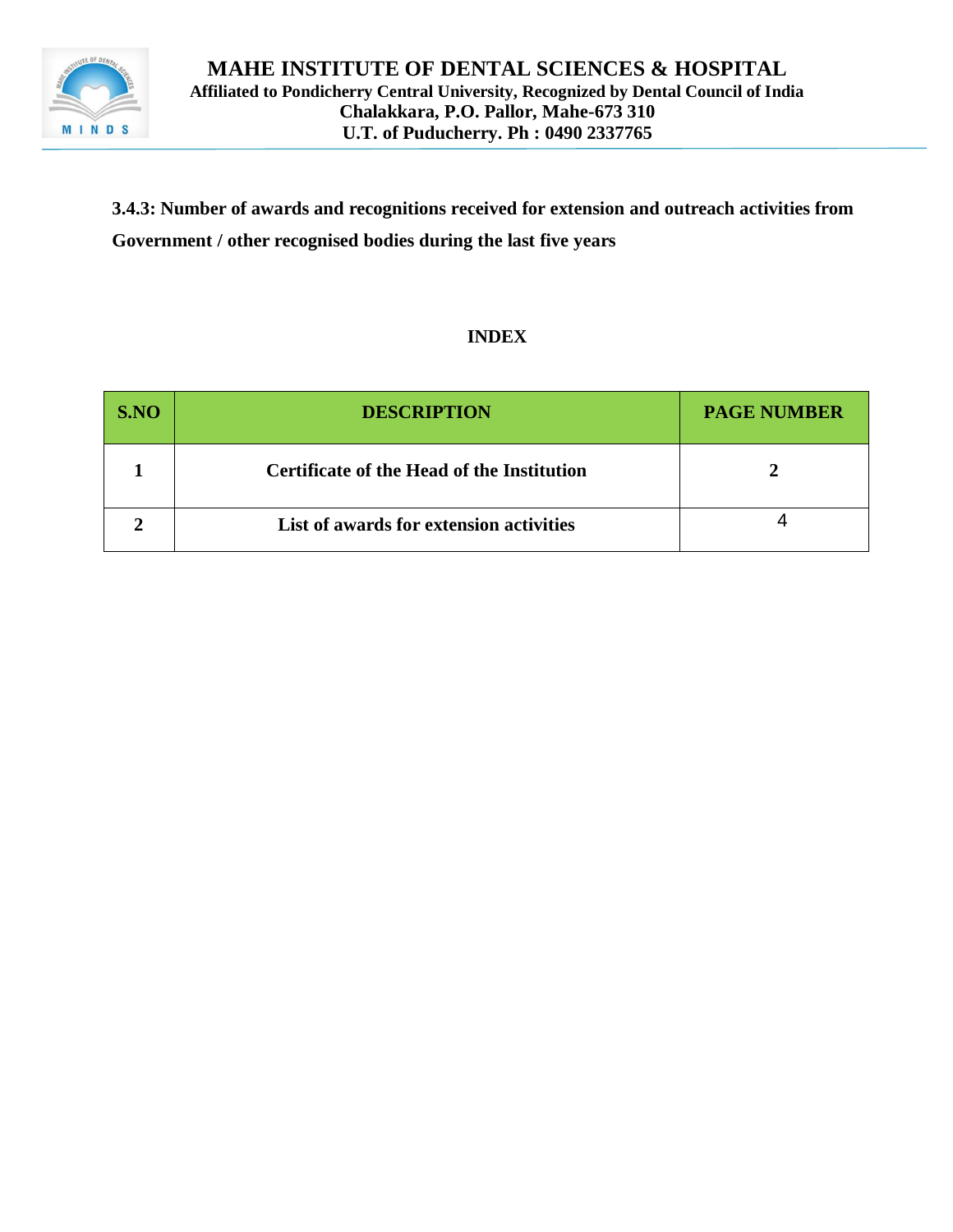

**3.4.3: Number of awards and recognitions received for extension and outreach activities from Government / other recognised bodies during the last five years**

### **INDEX**

| S.NO | <b>DESCRIPTION</b>                         | <b>PAGE NUMBER</b> |
|------|--------------------------------------------|--------------------|
|      | Certificate of the Head of the Institution |                    |
|      | List of awards for extension activities    |                    |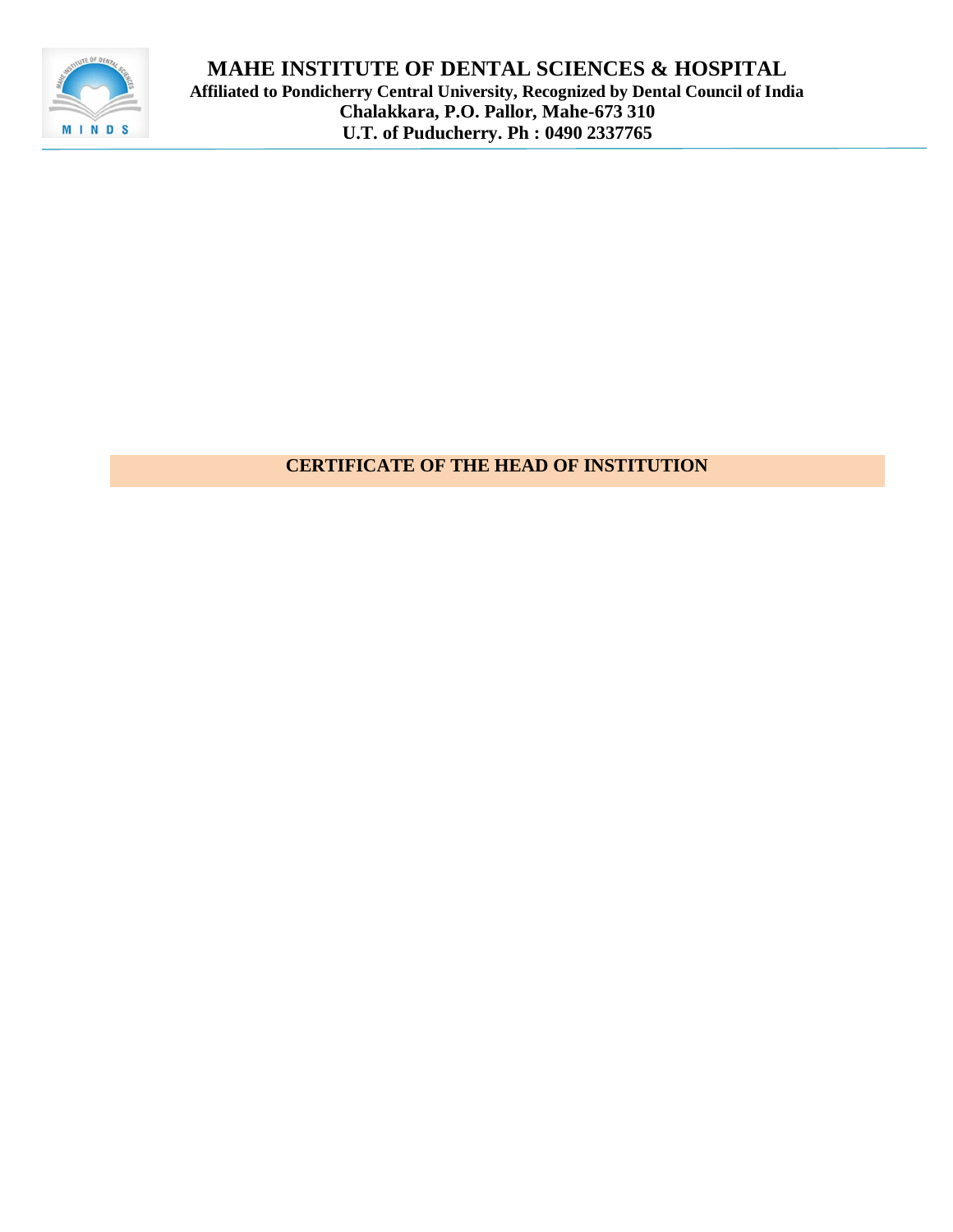

# **CERTIFICATE OF THE HEAD OF INSTITUTION**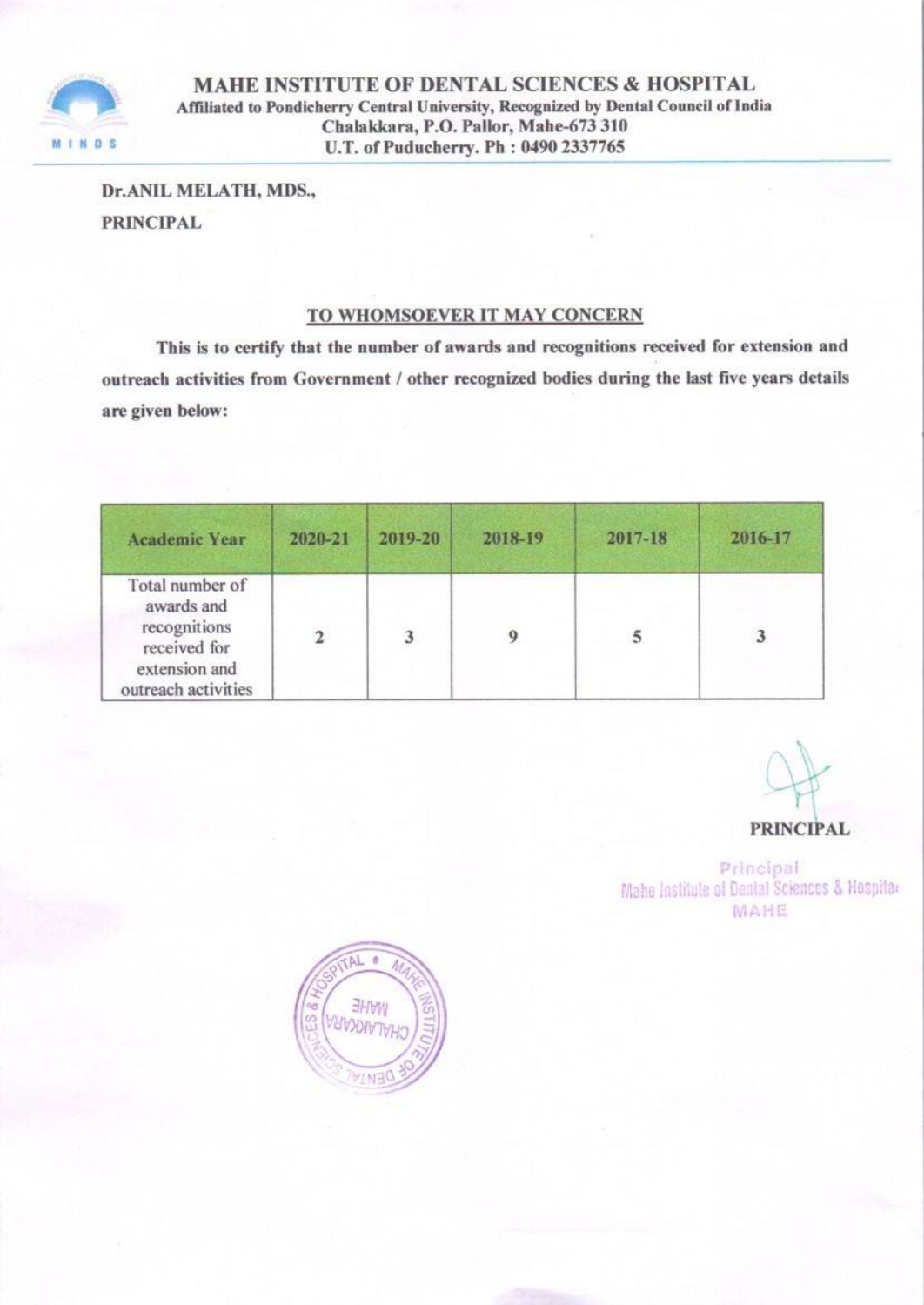

Dr.ANIL MELATH, MDS., **PRINCIPAL** 

### TO WHOMSOEVER IT MAY CONCERN

This is to certify that the number of awards and recognitions received for extension and outreach activities from Government / other recognized bodies during the last five years details are given below:

| <b>Academic Year</b>                                                                                  | 2020-21 | 2019-20 | 2018-19 | 2017-18 | 2016-17 |
|-------------------------------------------------------------------------------------------------------|---------|---------|---------|---------|---------|
| Total number of<br>awards and<br>recognitions<br>received for<br>extension and<br>outreach activities |         | 3       | 9       |         | 3       |

#### **PRINCIPAL**

Principal Mahe Institute of Dental Sciences & Hospitar MAHE

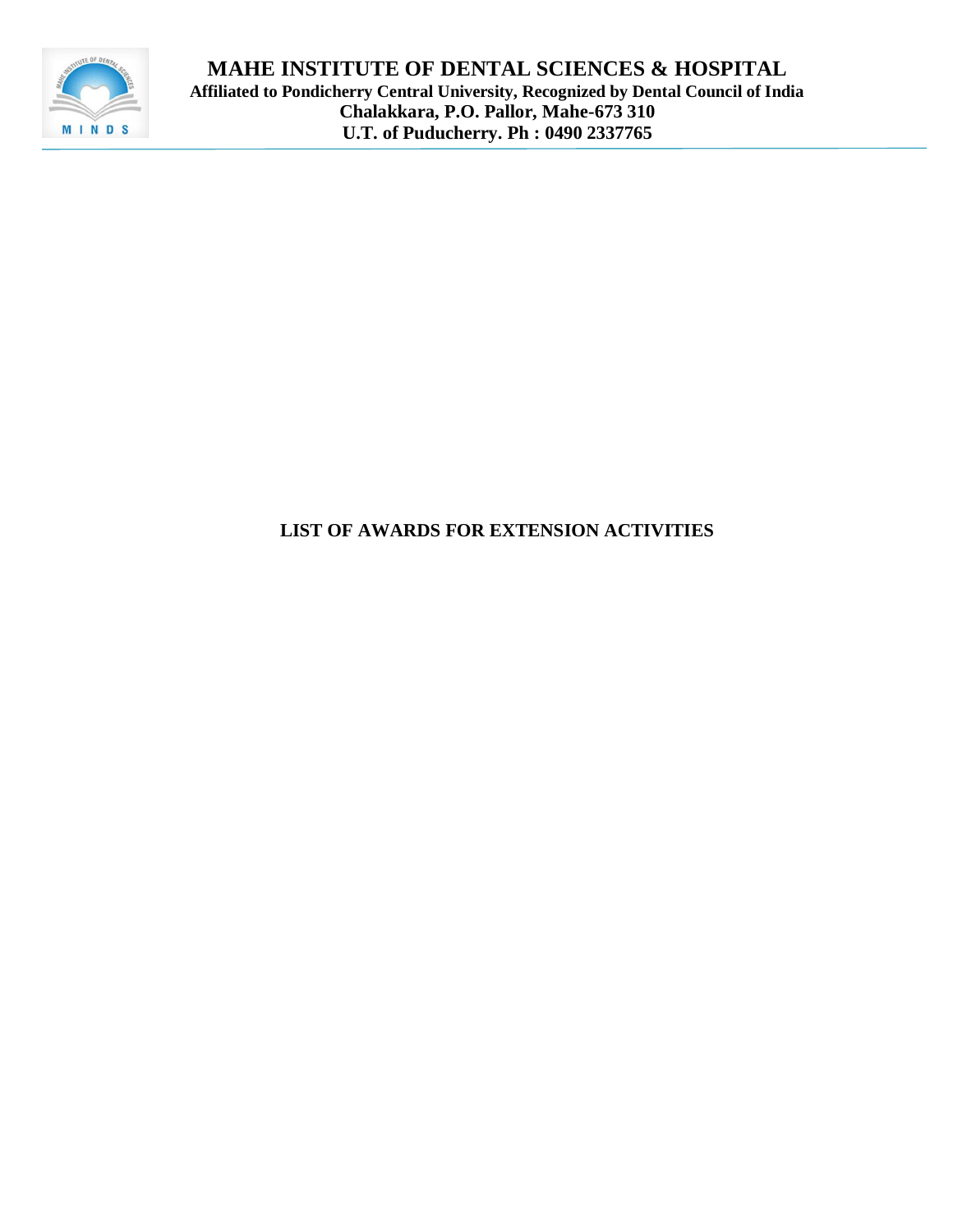

# **LIST OF AWARDS FOR EXTENSION ACTIVITIES**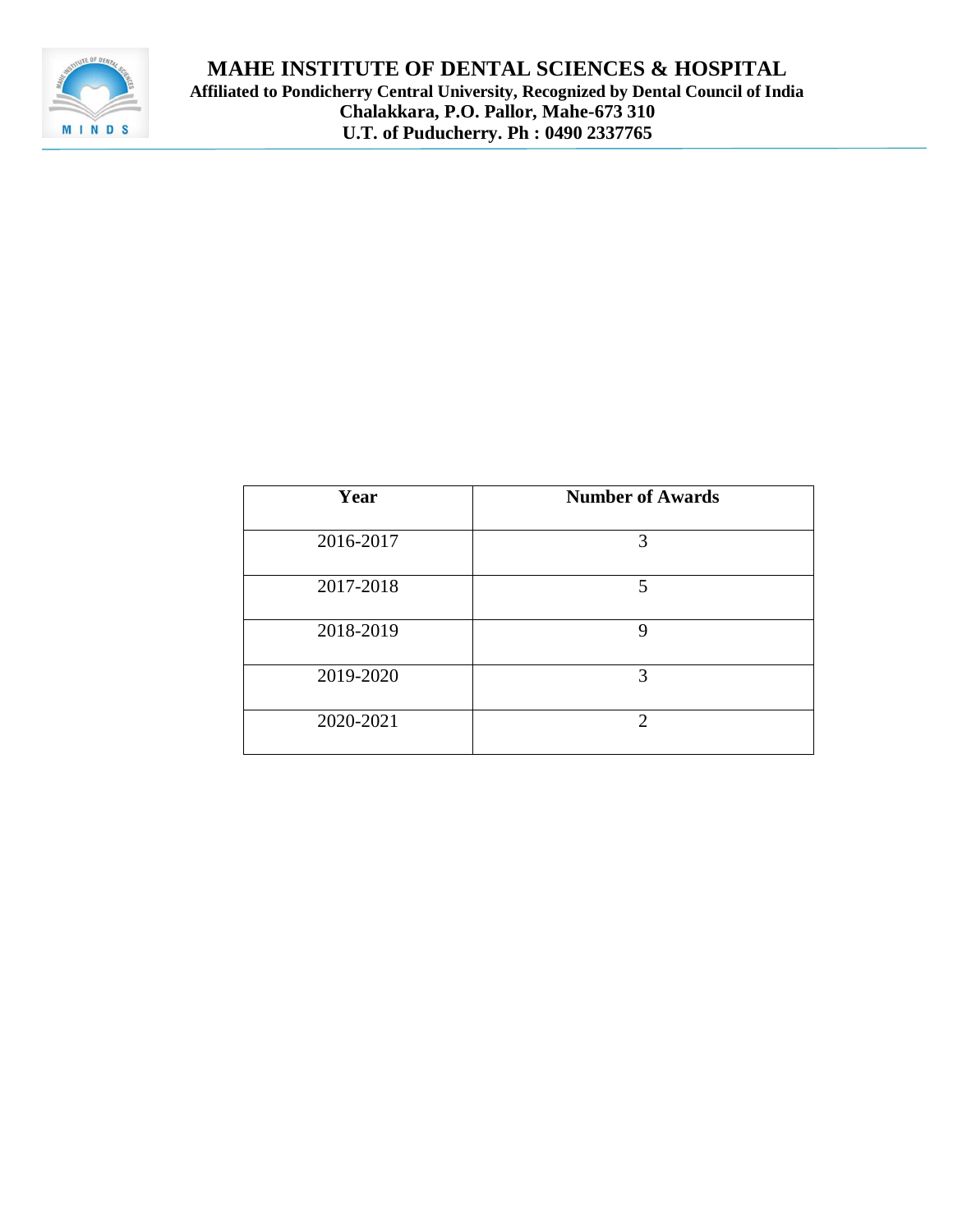

| Year      | <b>Number of Awards</b>     |
|-----------|-----------------------------|
| 2016-2017 | 3                           |
| 2017-2018 | 5                           |
| 2018-2019 | 9                           |
| 2019-2020 | 3                           |
| 2020-2021 | $\mathcal{D}_{\mathcal{L}}$ |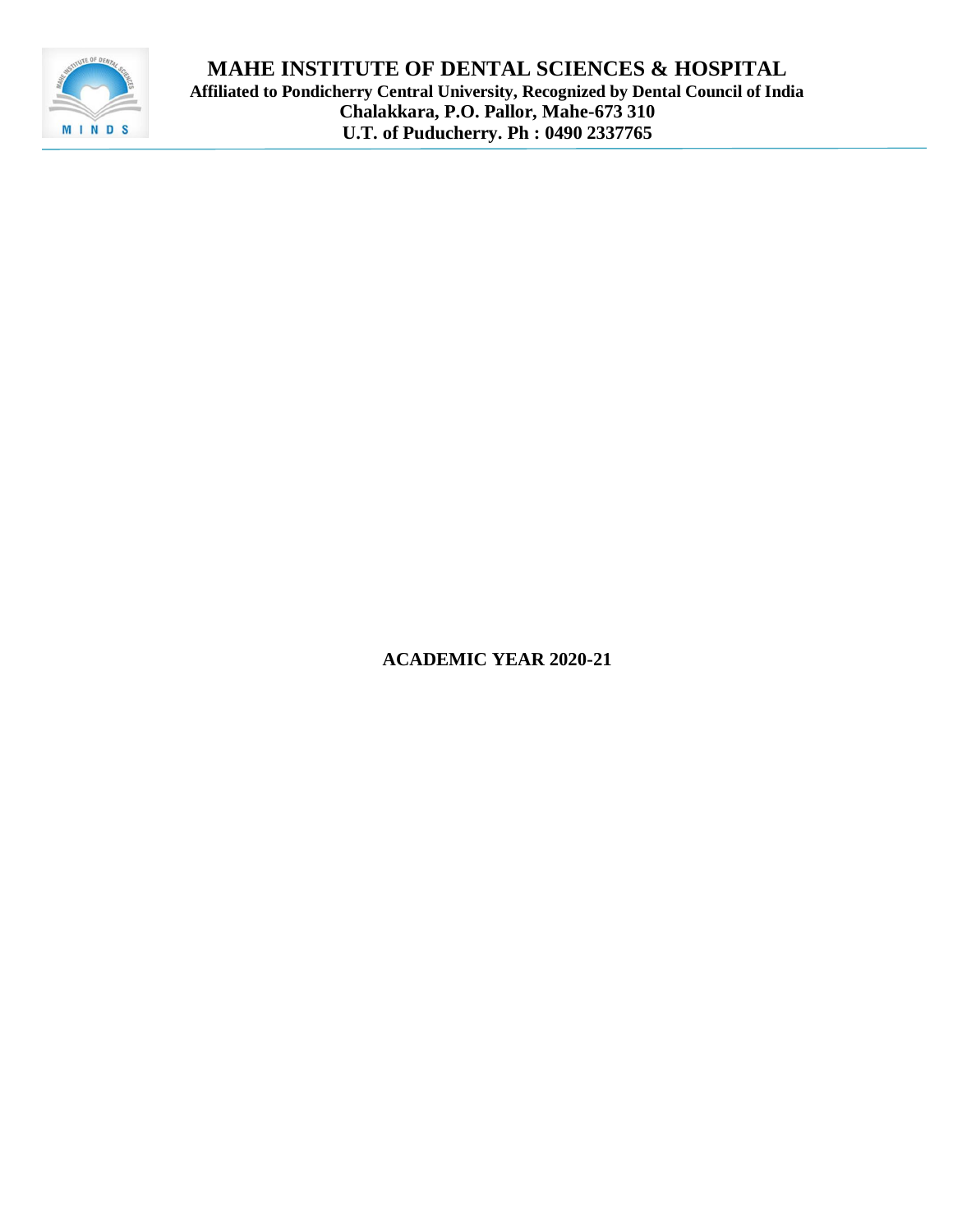

**ACADEMIC YEAR 2020-21**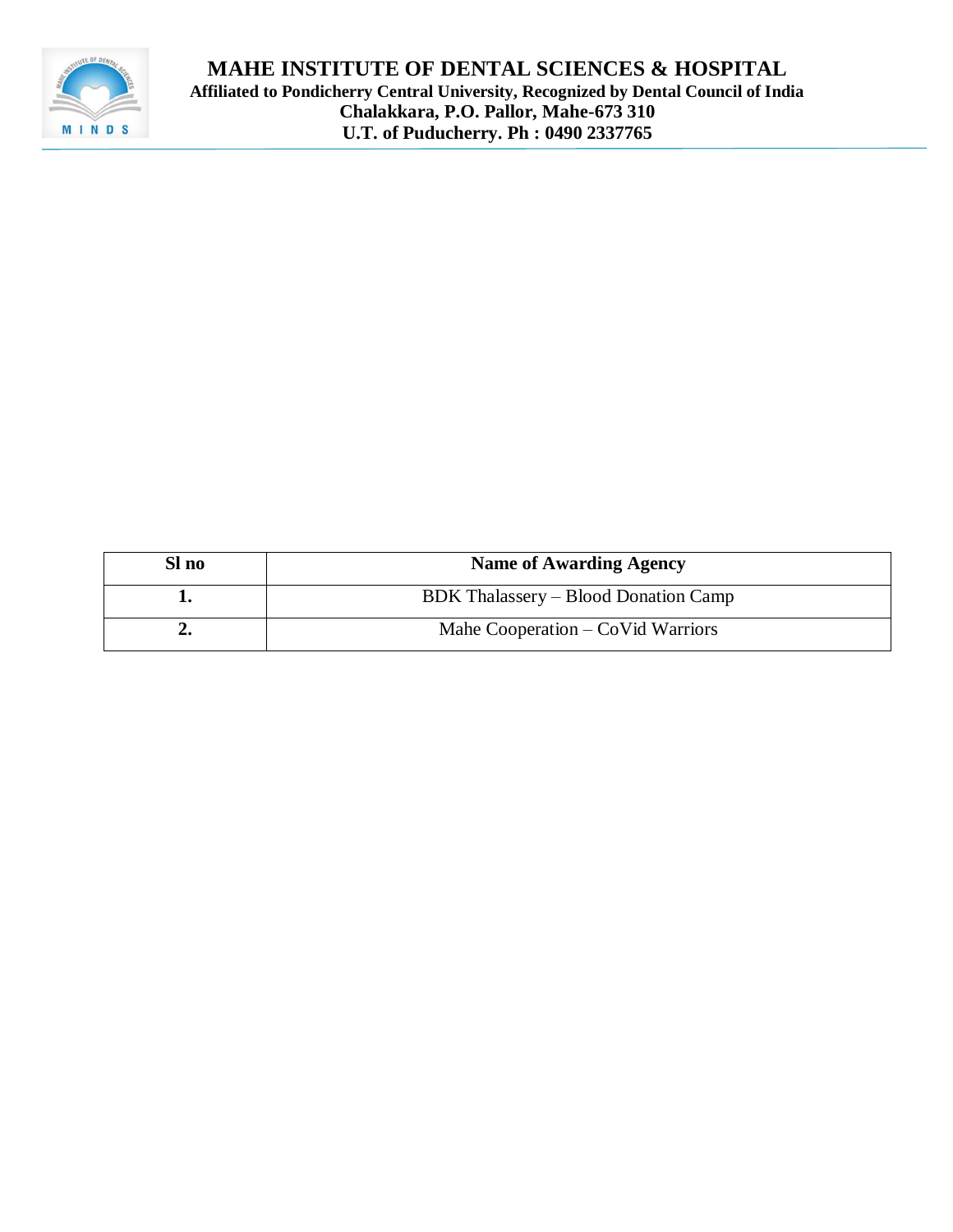

| Sl no | <b>Name of Awarding Agency</b>                    |
|-------|---------------------------------------------------|
|       | BDK Thalassery – Blood Donation Camp              |
|       | Mahe Cooperation $-\text{CoVid}\,\text{Warriors}$ |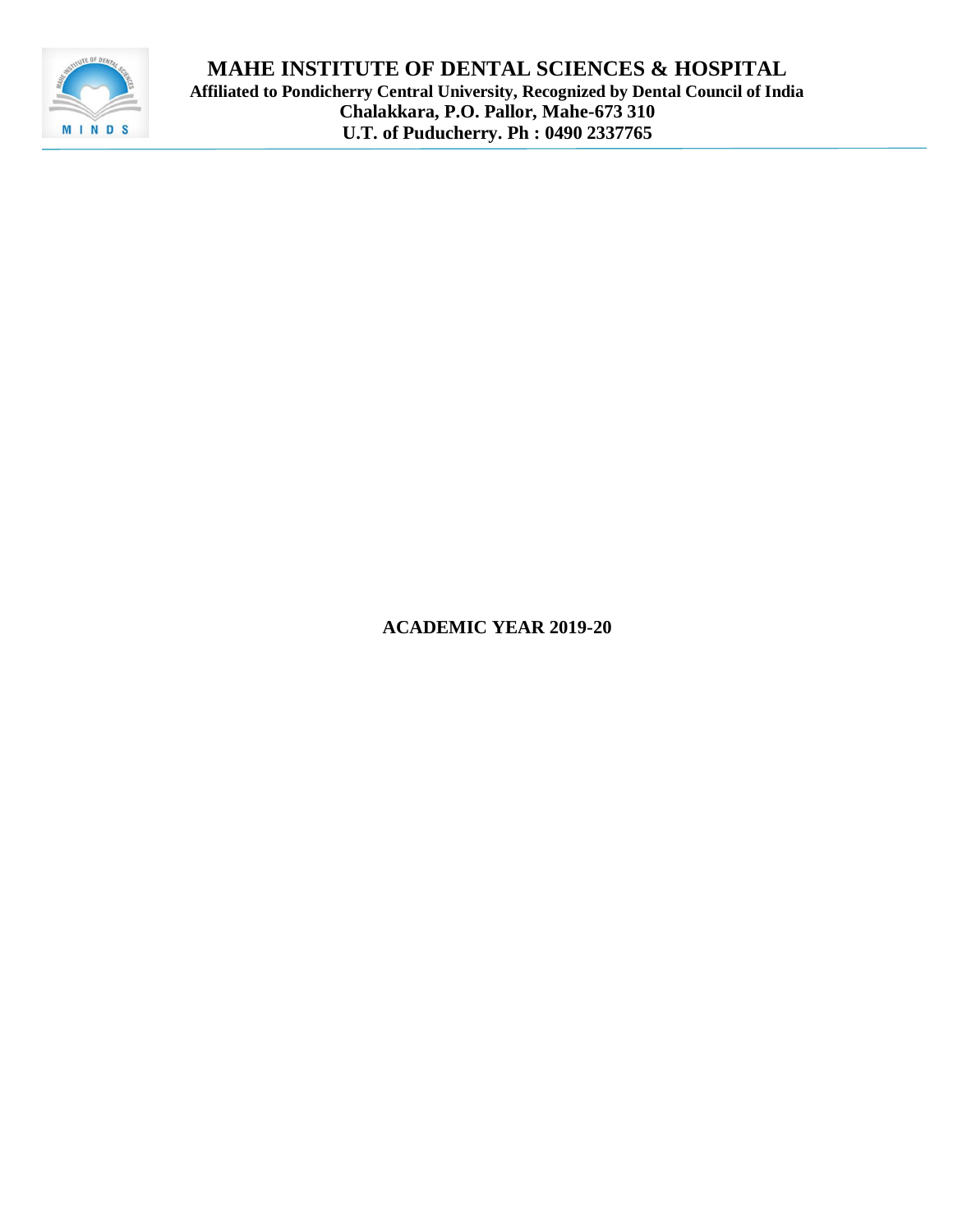

**ACADEMIC YEAR 2019-20**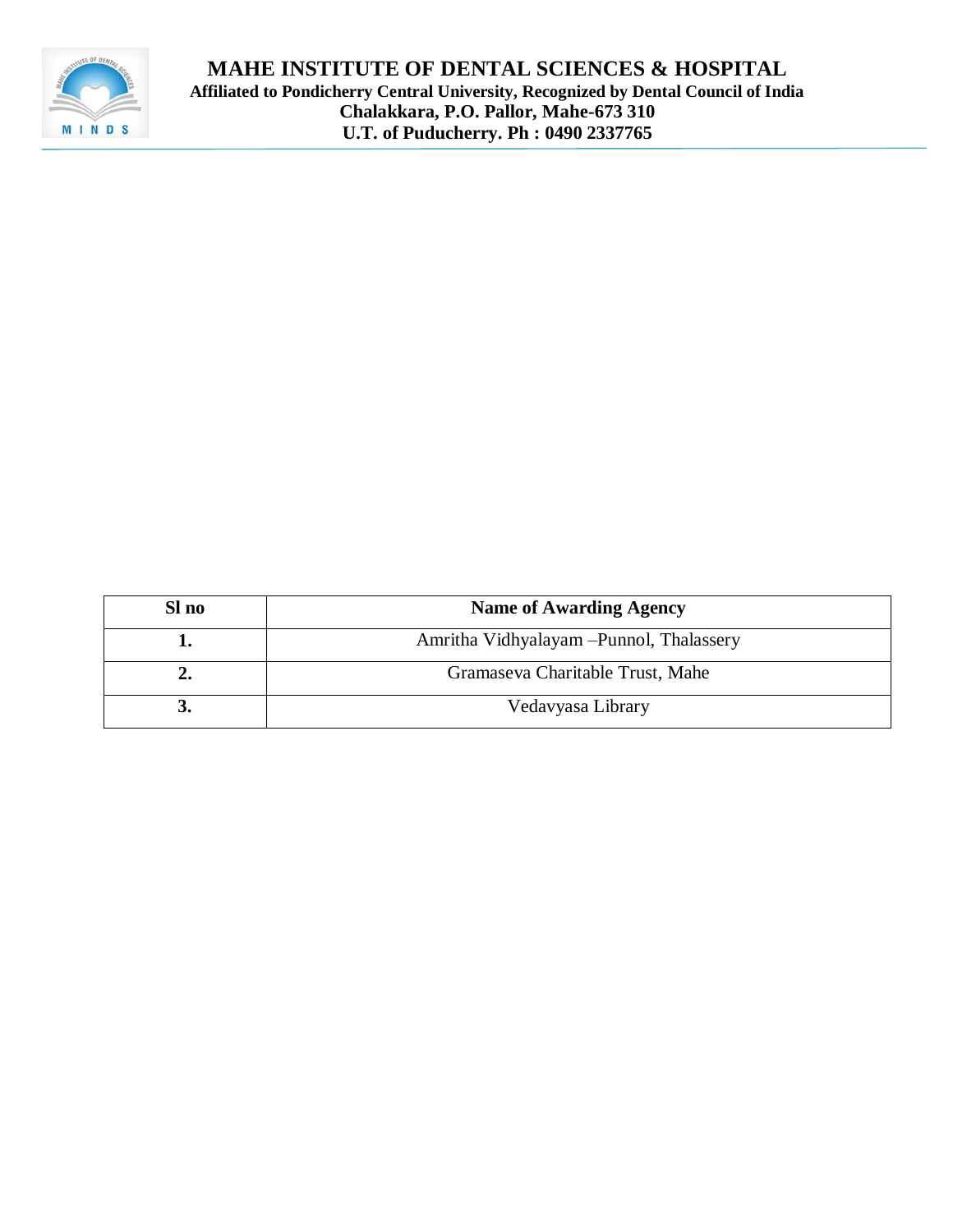

| Sl no | <b>Name of Awarding Agency</b>           |
|-------|------------------------------------------|
|       | Amritha Vidhyalayam – Punnol, Thalassery |
| ∸∙    | Gramaseva Charitable Trust, Mahe         |
|       | Vedavyasa Library                        |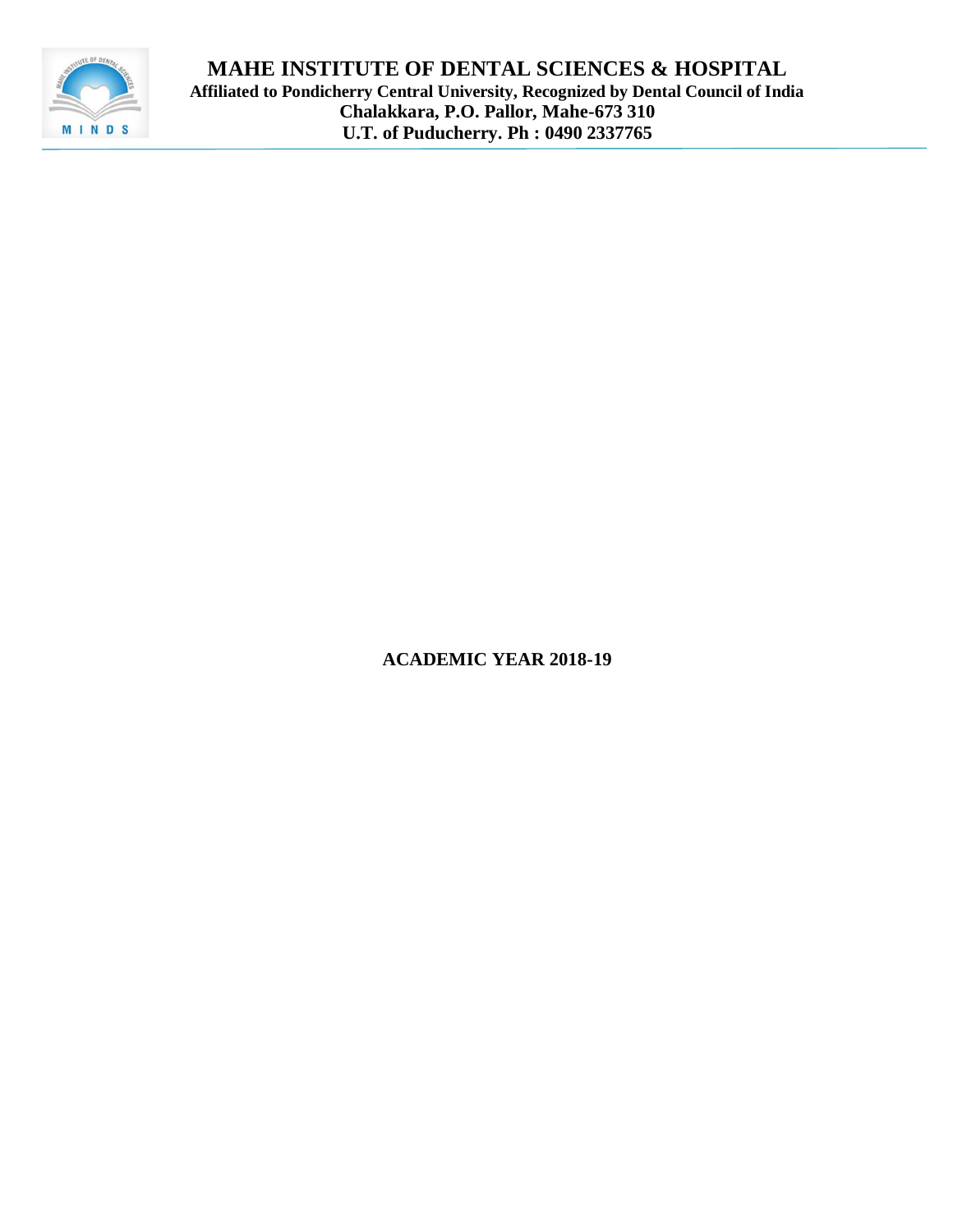

**ACADEMIC YEAR 2018-19**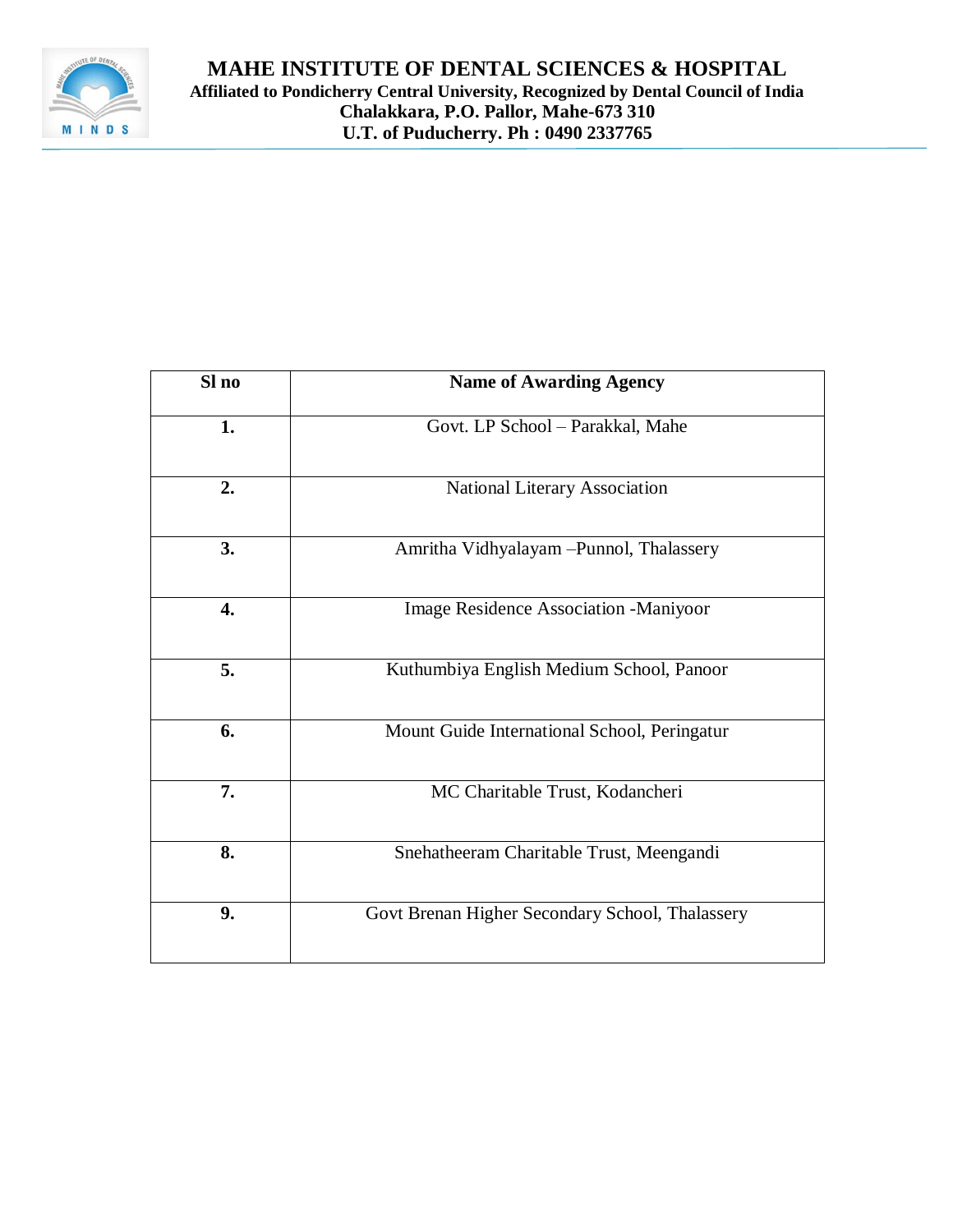

| Sl no | <b>Name of Awarding Agency</b>                  |
|-------|-------------------------------------------------|
| 1.    | Govt. LP School - Parakkal, Mahe                |
| 2.    | National Literary Association                   |
| 3.    | Amritha Vidhyalayam -Punnol, Thalassery         |
| 4.    | Image Residence Association -Maniyoor           |
| 5.    | Kuthumbiya English Medium School, Panoor        |
| 6.    | Mount Guide International School, Peringatur    |
| 7.    | MC Charitable Trust, Kodancheri                 |
| 8.    | Snehatheeram Charitable Trust, Meengandi        |
| 9.    | Govt Brenan Higher Secondary School, Thalassery |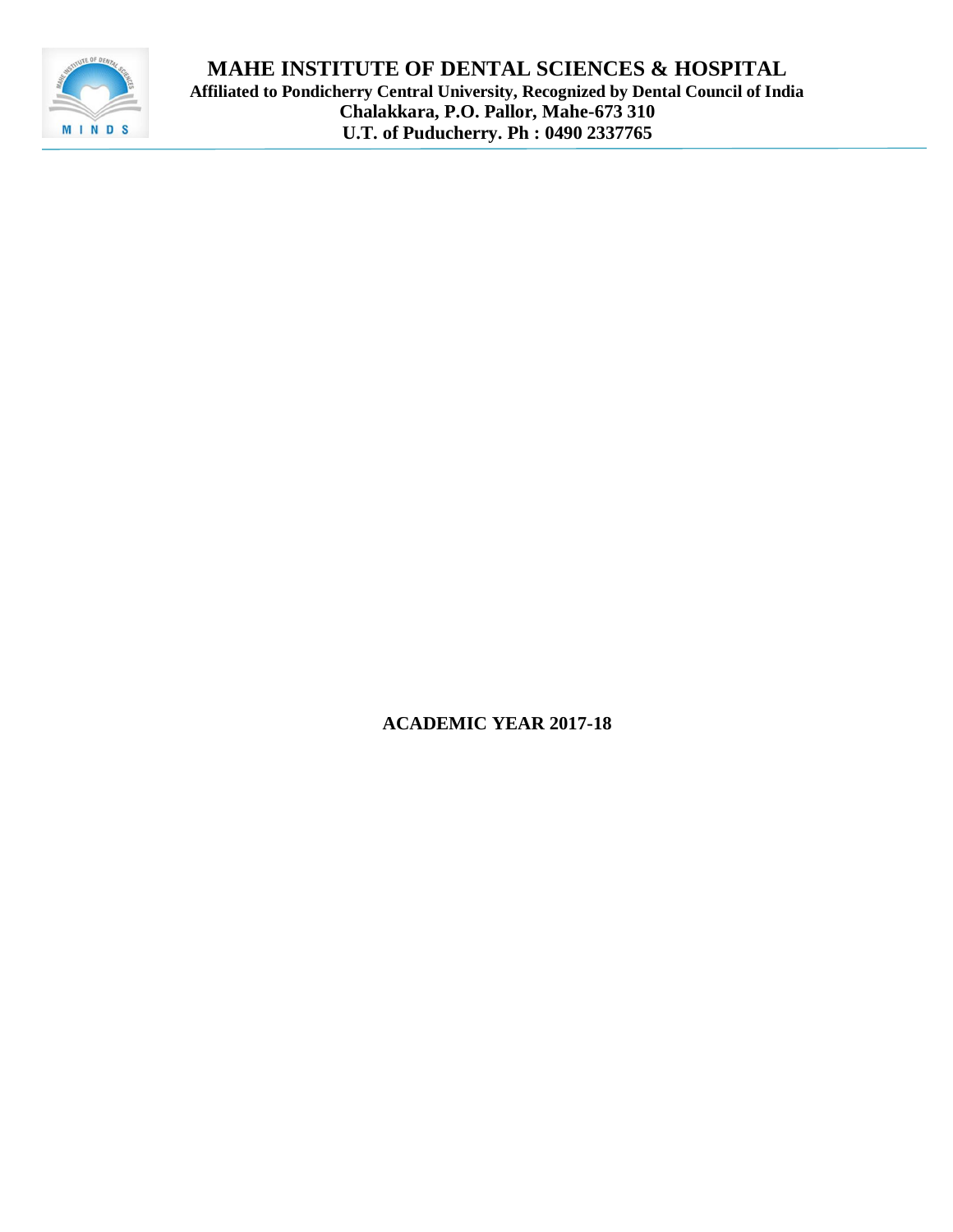

**MAHE INSTITUTE OF DENTAL SCIENCES & HOSPITAL Affiliated to Pondicherry Central University, Recognized by Dental Council of India Chalakkara, P.O. Pallor, Mahe-673 310 U.T. of Puducherry. Ph : 0490 2337765**

**ACADEMIC YEAR 2017-18**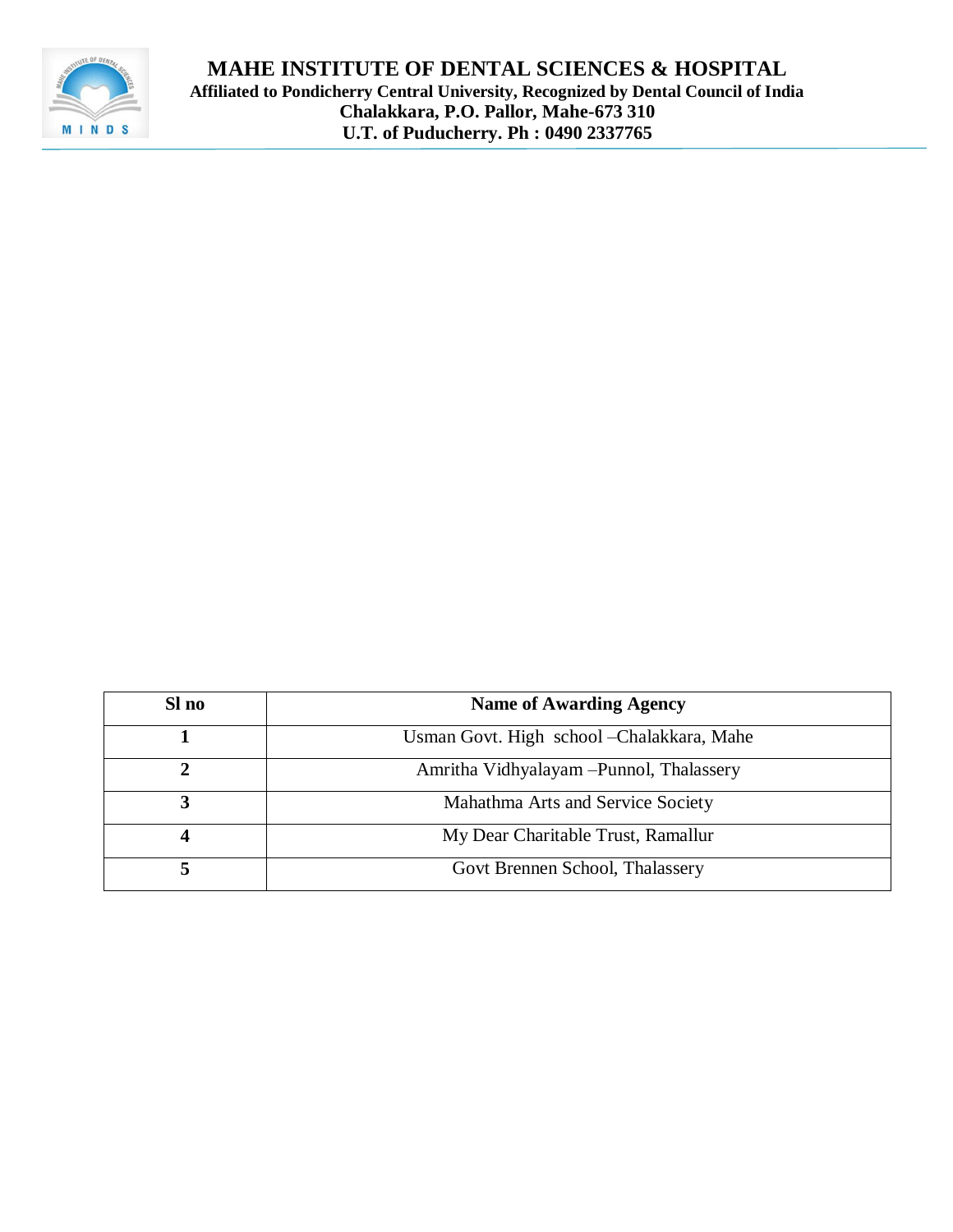

| Sl no | <b>Name of Awarding Agency</b>             |
|-------|--------------------------------------------|
|       | Usman Govt. High school - Chalakkara, Mahe |
|       | Amritha Vidhyalayam - Punnol, Thalassery   |
|       | Mahathma Arts and Service Society          |
|       | My Dear Charitable Trust, Ramallur         |
|       | Govt Brennen School, Thalassery            |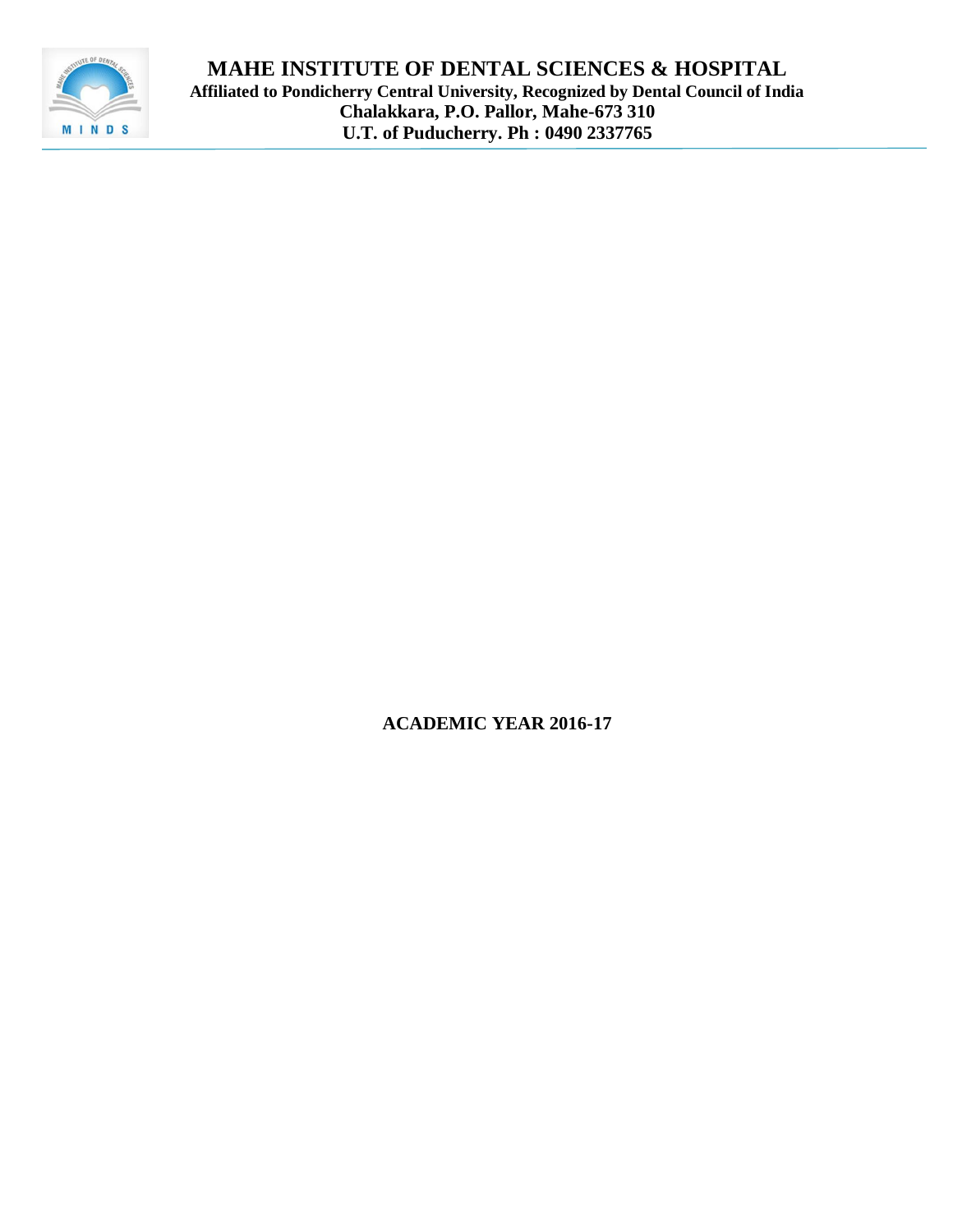

**MAHE INSTITUTE OF DENTAL SCIENCES & HOSPITAL Affiliated to Pondicherry Central University, Recognized by Dental Council of India Chalakkara, P.O. Pallor, Mahe-673 310 U.T. of Puducherry. Ph : 0490 2337765**

**ACADEMIC YEAR 2016-17**